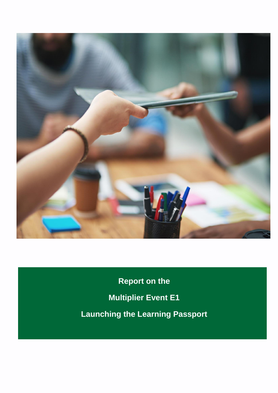

**Report on the Multiplier Event E1 Launching the Learning Passport**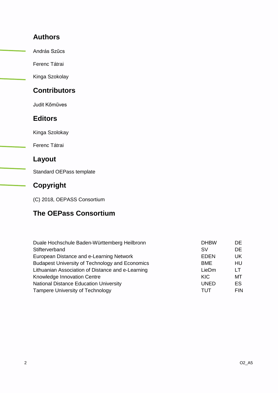### **Authors**

András Szűcs

Ferenc Tátrai

Kinga Szokolay

## **Contributors**

Judit Kőműves

#### **Editors**

Kinga Szolokay

Ferenc Tátrai

### **Layout**

Standard OEPass template

## **Copyright**

(C) 2018, OEPASS Consortium

# **The OEPass Consortium**

| Duale Hochschule Baden-Württemberg Heilbronn           | <b>DHBW</b> | DE.        |
|--------------------------------------------------------|-------------|------------|
| Stifterverband                                         | <b>SV</b>   | DE.        |
| European Distance and e-Learning Network               | <b>EDEN</b> | UK.        |
| <b>Budapest University of Technology and Economics</b> | <b>BME</b>  | HU         |
| Lithuanian Association of Distance and e-Learning      | LieDm       | LT         |
| Knowledge Innovation Centre                            | KIC.        | MT         |
| <b>National Distance Education University</b>          | <b>UNED</b> | ES         |
| <b>Tampere University of Technology</b>                | TUT         | <b>FIN</b> |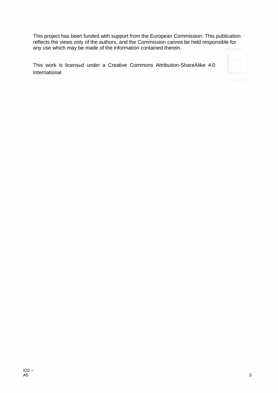This project has been funded with support from the European Commission. This publication reflects the views only of the authors, and the Commission cannot be held responsible for any use which may be made of the information contained therein.

This work is licensed under a Creative Commons Attribution-ShareAlike 4.0 International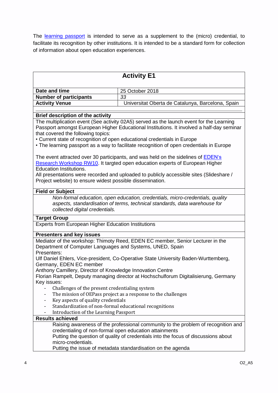The [learning passport](https://oepass.eu/outputs/learningpassport/) is intended to serve as a supplement to the (micro) credential, to facilitate its recognition by other institutions. It is intended to be a standard form for collection of information about open education experiences.

| <b>Activity E1</b>                                                                                                                                                                                                                                                                                                                                                 |                                                                                   |  |
|--------------------------------------------------------------------------------------------------------------------------------------------------------------------------------------------------------------------------------------------------------------------------------------------------------------------------------------------------------------------|-----------------------------------------------------------------------------------|--|
|                                                                                                                                                                                                                                                                                                                                                                    |                                                                                   |  |
| Date and time                                                                                                                                                                                                                                                                                                                                                      | 25 October 2018                                                                   |  |
| <b>Number of participants</b>                                                                                                                                                                                                                                                                                                                                      | 33                                                                                |  |
| <b>Activity Venue</b>                                                                                                                                                                                                                                                                                                                                              | Universitat Oberta de Catalunya, Barcelona, Spain                                 |  |
|                                                                                                                                                                                                                                                                                                                                                                    |                                                                                   |  |
| <b>Brief description of the activity</b>                                                                                                                                                                                                                                                                                                                           |                                                                                   |  |
| The multiplication event (See activity 02A5) served as the launch event for the Learning<br>Passport amongst European Higher Educational Institutions. It involved a half-day seminar<br>that covered the following topics:<br>• Current state of recognition of open educational credentials in Europe                                                            |                                                                                   |  |
| • The learning passport as a way to facilitate recognition of open credentials in Europe                                                                                                                                                                                                                                                                           |                                                                                   |  |
| The event attracted over 30 participants, and was held on the sidelines of <b>EDEN's</b><br>Research Workshop RW10. It targted open education experts of European Higher<br><b>Education Institutions.</b><br>All presentations were recorded and uploaded to publicly accessible sites (Slideshare /<br>Project website) to ensure widest possible dissemination. |                                                                                   |  |
|                                                                                                                                                                                                                                                                                                                                                                    |                                                                                   |  |
| <b>Field or Subject</b>                                                                                                                                                                                                                                                                                                                                            |                                                                                   |  |
| Non-formal education, open education, credentials, micro-credentials, quality<br>aspects, standardisation of terms, technical standards, data warehouse for<br>collected digital credentials.                                                                                                                                                                      |                                                                                   |  |
| <b>Target Group</b>                                                                                                                                                                                                                                                                                                                                                |                                                                                   |  |
| <b>Experts from European Higher Education Institutions</b>                                                                                                                                                                                                                                                                                                         |                                                                                   |  |
| <b>Presenters and key issues</b>                                                                                                                                                                                                                                                                                                                                   |                                                                                   |  |
| Mediator of the workshop: Thimoty Reed, EDEN EC member, Senior Lecturer in the<br>Department of Computer Languages and Systems, UNED, Spain<br>Presenters:                                                                                                                                                                                                         |                                                                                   |  |
| Ulf Daniel Ehlers, Vice-president, Co-Operative State University Baden-Wurttemberg,<br>Germany, EDEN EC member                                                                                                                                                                                                                                                     |                                                                                   |  |
| Anthony Camillery, Director of Knowledge Innovation Centre                                                                                                                                                                                                                                                                                                         |                                                                                   |  |
| Florian Rampelt, Deputy managing director at Hochschulforum Digitalisierung, Germany                                                                                                                                                                                                                                                                               |                                                                                   |  |
| Key issues:                                                                                                                                                                                                                                                                                                                                                        |                                                                                   |  |
| Challenges of the present credentialing system                                                                                                                                                                                                                                                                                                                     |                                                                                   |  |
|                                                                                                                                                                                                                                                                                                                                                                    | The mission of OEPass project as a response to the challenges                     |  |
| Key aspects of quality credentials<br>-                                                                                                                                                                                                                                                                                                                            |                                                                                   |  |
| Standardization of non-formal educational recognitions                                                                                                                                                                                                                                                                                                             |                                                                                   |  |
| Introduction of the Learning Passport                                                                                                                                                                                                                                                                                                                              |                                                                                   |  |
| <b>Results achieved</b>                                                                                                                                                                                                                                                                                                                                            |                                                                                   |  |
|                                                                                                                                                                                                                                                                                                                                                                    | Raising awareness of the professional community to the problem of recognition and |  |
| credentialing of non-formal open education attainments                                                                                                                                                                                                                                                                                                             |                                                                                   |  |
| Putting the question of quality of credentials into the focus of discussions about<br>micro-credentials.                                                                                                                                                                                                                                                           |                                                                                   |  |
|                                                                                                                                                                                                                                                                                                                                                                    |                                                                                   |  |
|                                                                                                                                                                                                                                                                                                                                                                    | Putting the issue of metadata standardisation on the agenda                       |  |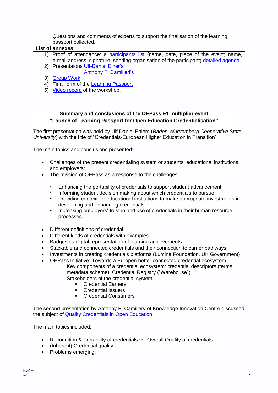| Questions and comments of experts to support the finalisation of the learning<br>passport collected.                                                                                                                                                                                                                                                     |
|----------------------------------------------------------------------------------------------------------------------------------------------------------------------------------------------------------------------------------------------------------------------------------------------------------------------------------------------------------|
| <b>List of annexes</b>                                                                                                                                                                                                                                                                                                                                   |
| 1) Proof of attendance: a participants list (name, date, place of the event; name,<br>e-mail address, signature, sending organisation of the participant) detailed agenda                                                                                                                                                                                |
| 2) Presentaions Ulf-Daniel Elher's<br>Anthony F. Camilieri's                                                                                                                                                                                                                                                                                             |
|                                                                                                                                                                                                                                                                                                                                                          |
| <b>Group Work</b><br>3)                                                                                                                                                                                                                                                                                                                                  |
| Final form of the Learning Passport<br>4)                                                                                                                                                                                                                                                                                                                |
| $F \cup$ $\mathcal{L}$ $\mathcal{L}$ $\mathcal{L}$ $\mathcal{L}$ $\mathcal{L}$ $\mathcal{L}$ $\mathcal{L}$ $\mathcal{L}$ $\mathcal{L}$ $\mathcal{L}$ $\mathcal{L}$ $\mathcal{L}$ $\mathcal{L}$ $\mathcal{L}$ $\mathcal{L}$ $\mathcal{L}$ $\mathcal{L}$ $\mathcal{L}$ $\mathcal{L}$ $\mathcal{L}$ $\mathcal{L}$ $\mathcal{L}$ $\mathcal{L}$ $\mathcal{L}$ |

5) <u>[Video record](https://www.youtube.com/watch?v=wWcPl9cT0zE&list=PLAO3ySlu9pvNZTnzVQe_xwIIuQ8zog8FS)</u> of the workshop.

#### **Summary and conclusions of the OEPass E1 multiplier event "Launch of Learning Passport for Open Education Credentialisation"**

The first presentation was held by Ulf Daniel Ehlers (*Baden-Wurttemberg Cooperative State University*) with the title of "Credentials-European Higher Education in Transition"

The main topics and conclusions presented:

- Challenges of the present credentialing system or students, educational institutions, and employers:
- The mission of OEPass as a response to the challenges:
	- Enhancing the portability of credentials to support student advancement
	- Informing student decision making about which credentials to pursue
	- Providing context for educational institutions to make appropriate investments in developing and enhancing credentials
	- Increasing employers' trust in and use of credentials in their human resource processes
- Different definitions of credential
- Different kinds of credentials with examples
- Badges as digital representation of learning achievements
- Stackable and connected credentials and their connection to carrier pathways
- Investments in creating credentials platforms (Lumina Foundation, UK Government)
- OEPass Initiative: Towards a Europen better connected credential ecosystem
	- $\circ$  Key components of a credential ecosystem: credential descriptors (terms, metadata scheme), Credential Registry ("Warehouse")
	- o Stakeholders of the credential system:
		- **Credential Earners** 
			- Credential Issuers
			- **Credential Consumers**

The second presentation by Anthony F. Camiliery of Knowledge Innovation Centre discussed the subject of [Quality Credentials in Open Education](https://www.slideshare.net/anthonycamilleri/quality-of-credentials-in-open-educatioon)

The main topics included:

- Recognition & Portability of credentials vs. Overall Quality of credentials
- (Inherent) Credential quality
- Problems emerging: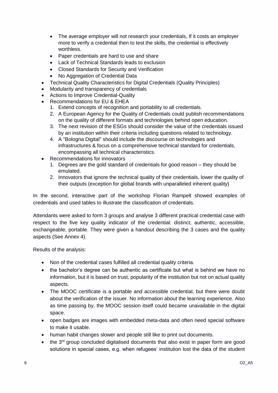- The average employer will not research your credentials, If it costs an employer more to verify a credential then to test the skills, the credential is effectively worthless.
- Paper credentials are hard to use and share
- Lack of Technical Standards leads to exclusion
- Closed Standards for Security and Verification
- No Aggregation of Credential Data
- Technical Quality Characteristics for Digital Credentials (Quality Principles)
- Modularity and transparency of credentials
- Actions to Improve Credential-Quality
- Recommendations for EU & EHEA
	- 1. Extend concepts of recognition and portability to all credentials.
	- 2. A European Agency for the Quality of Credentials could publish recommendations on the quality of different formats and technologies behind open education.
	- 3. The next revision of the ESGs should consider the value of the credentials issued by an institution within their criteria including questions related to technology.
	- 4. A "Bologna Digital" should include the discourse on technologies and infrastructures & focus on a comprehensive technical standard for credentials, encompassing all technical characteristics.
- Recommendations for innovators
	- 1. Degrees are the gold standard of credentials for good reason they should be emulated.
	- 2. Innovators that ignore the technical quality of their credentials, lower the quality of their outputs (exception for global brands with unparalleled inherent quality)

In the second, interactive part of the workshop Florian Rampelt showed examples of credentials and used tables to illustrate the classification of credentials.

Attendants were asked to form 3 groups and analyse 3 different practical credential case with respect to the five key quality indicator of the credential: distinct, authentic, accessible, exchangeable, portable. They were given a handout describing the 3 cases and the quality aspects (See Annex 4).

Results of the analysis:

- Non of the credential cases fulfilled all credential quality criteria.
- the bachelor's degree can be authentic as certificate but what is behind we have no information, but it is based on trust, popularity of the institution but not on actual quality aspects.
- The MOOC certificate is a portable and accessible credential, but there were doubt about the verification of the issuer. No information about the learning experience. Also as time passing by, the MOOC session itself could became unavailable in the digital space.
- open badges are images with embedded meta-data and often need special software to make it usable.
- human habit changes slower and people still like to print out documents.
- $\bullet$  the 3<sup>rd</sup> group concluded digitalised documents that also exist in paper form are good solutions in special cases, e.g. when refugees' institution lost the data of the student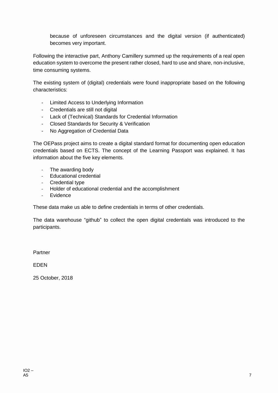because of unforeseen circumstances and the digital version (if authenticated) becomes very important.

Following the interactive part, Anthony Camillery summed up the requirements of a real open education system to overcome the present rather closed, hard to use and share, non-inclusive, time consuming systems.

The existing system of (digital) credentials were found inappropriate based on the following characteristics:

- Limited Access to Underlying Information
- Credentials are still not digital
- Lack of (Technical) Standards for Credential Information
- Closed Standards for Security & Verification
- No Aggregation of Credential Data

The OEPass project aims to create a digital standard format for documenting open education credentials based on ECTS. The concept of the Learning Passport was explained. It has information about the five key elements.

- The awarding body
- Educational credential
- Credential type
- Holder of educational credential and the accomplishment
- Evidence

These data make us able to define credentials in terms of other credentials.

The data warehouse "github" to collect the open digital credentials was introduced to the participants.

Partner

EDEN

25 October, 2018